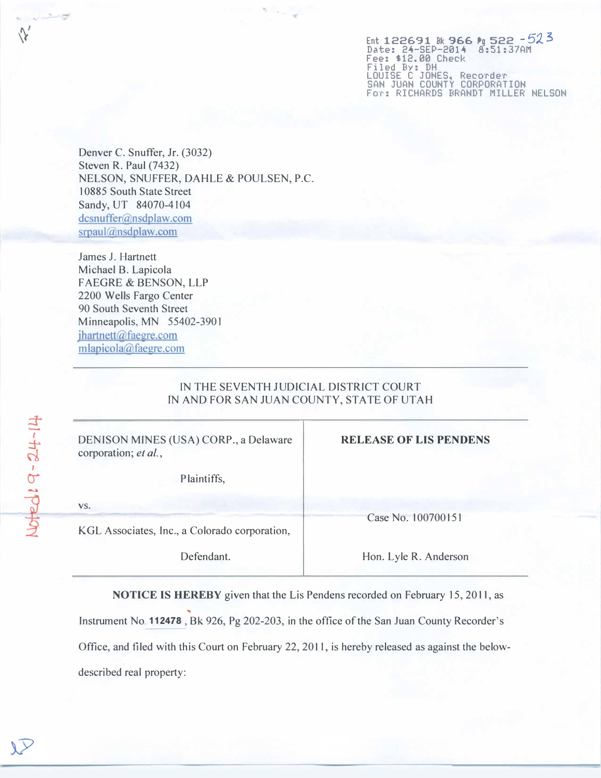Ent 122691 Bk 966 Pg 522 - 523<br>Date: 24-SEP-2014 8:51:37AM Fee: S12.00 Check Filed By: DH LOUISE C JONES, Recorder SAN JUAN COUNTY CORPORATION For: RICHARDS BRANDT MILLER NELSON

Denver C. Snuffer, Jr. (3032) Steven R. Paul (7432) NELSON, SNUFFER, DAHLE & POULSEN, P.C. 10885 South State Street Sandy, UT 84070-4104 dcsnuffer@nsdplaw.com srpaul@nsdplaw.com

James J. Hartnett Michael B. Lapicola FAEGRE & BENSON, LLP 2200 Wells Fargo Center 90 South Seventh Street Minneapolis, MN 55402-3901 jhartnett@faegre.com mlapicola@faegre.com

## IN THE SEVENTH JUDICIAL DISTRICT COURT IN AND FOR SAN JUAN COUNTY, STATE OF UTAH

| DENISON MINES (USA) CORP., a Delaware<br>corporation; et al., | <b>RELEASE OF LIS PENDENS</b> |
|---------------------------------------------------------------|-------------------------------|
| Plaintiffs,                                                   |                               |
| VS.                                                           | Case No. 100700151            |
| KGL Associates, Inc., a Colorado corporation,<br>Defendant.   | Hon. Lyle R. Anderson         |

NOTICE IS HEREBY given that the Lis Pendens recorded on February 15, 2011, as .. Instrument No. 112478 , Bk 926, Pg 202-203, in the office of the San Juan County Recorder's Office, and filed with this Court on February 22, 2011, is hereby released as against the belowdescribed real property: